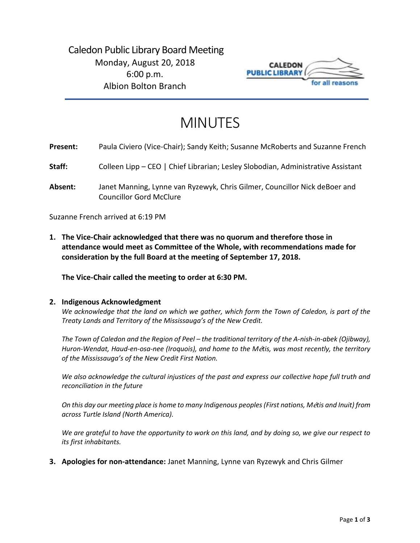

# MINUTES

| Present: | Paula Civiero (Vice-Chair); Sandy Keith; Susanne McRoberts and Suzanne French |
|----------|-------------------------------------------------------------------------------|
|----------|-------------------------------------------------------------------------------|

- **Staff:** Colleen Lipp CEO | Chief Librarian; Lesley Slobodian, Administrative Assistant
- **Absent:** Janet Manning, Lynne van Ryzewyk, Chris Gilmer, Councillor Nick deBoer and Councillor Gord McClure

Suzanne French arrived at 6:19 PM

**1. The Vice-Chair acknowledged that there was no quorum and therefore those in attendance would meet as Committee of the Whole, with recommendations made for consideration by the full Board at the meeting of September 17, 2018.**

**The Vice-Chair called the meeting to order at 6:30 PM.** 

#### **2. Indigenous Acknowledgment**

*We acknowledge that the land on which we gather, which form the Town of Caledon, is part of the Treaty Lands and Territory of the Mississauga's of the New Credit.* 

*The Town of Caledon and the Region of Peel – the traditional territory of the A-nish-in-abek (Ojibway), Huron-Wendat, Haud-en-osa-nee (Iroquois), and home to the M*é*tis, was most recently, the territory of the Mississauga's of the New Credit First Nation.* 

*We also acknowledge the cultural injustices of the past and express our collective hope full truth and reconciliation in the future*

*On this day our meeting place is home to many Indigenous peoples (First nations, M*é*tis and Inuit) from across Turtle Island (North America).* 

*We are grateful to have the opportunity to work on this land, and by doing so, we give our respect to its first inhabitants.* 

**3. Apologies for non-attendance:** Janet Manning, Lynne van Ryzewyk and Chris Gilmer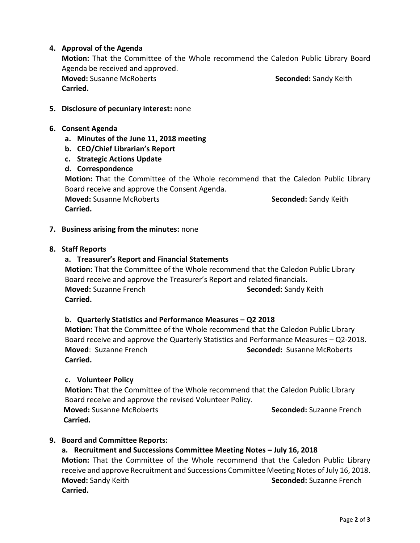## **4. Approval of the Agenda**

**Motion:** That the Committee of the Whole recommend the Caledon Public Library Board Agenda be received and approved.

**Moved:** Susanne McRoberts **Seconded:** Sandy Keith **Carried.**

## **5. Disclosure of pecuniary interest:** none

- **6. Consent Agenda**
	- **a. Minutes of the June 11, 2018 meeting**
	- **b. CEO/Chief Librarian's Report**
	- **c. Strategic Actions Update**

## **d. Correspondence**

**Motion:** That the Committee of the Whole recommend that the Caledon Public Library Board receive and approve the Consent Agenda. **Moved:** Susanne McRoberts **Seconded:** Sandy Keith

**Carried.** 

**7. Business arising from the minutes:** none

## **8. Staff Reports**

## **a. Treasurer's Report and Financial Statements**

**Motion:** That the Committee of the Whole recommend that the Caledon Public Library Board receive and approve the Treasurer's Report and related financials. **Moved:** Suzanne French **Seconded:** Sandy Keith **Carried.** 

## **b. Quarterly Statistics and Performance Measures – Q2 2018**

**Motion:** That the Committee of the Whole recommend that the Caledon Public Library Board receive and approve the Quarterly Statistics and Performance Measures – Q2-2018. **Moved**: Suzanne French **Seconded:** Susanne McRoberts **Carried.** 

#### **c. Volunteer Policy**

**Motion:** That the Committee of the Whole recommend that the Caledon Public Library Board receive and approve the revised Volunteer Policy. **Moved:** Susanne McRoberts **Seconded:** Suzanne French **Carried.**

## **9. Board and Committee Reports:**

## **a. Recruitment and Successions Committee Meeting Notes – July 16, 2018**

**Motion:** That the Committee of the Whole recommend that the Caledon Public Library receive and approve Recruitment and Successions Committee Meeting Notes of July 16, 2018. **Moved:** Sandy Keith **Seconded: Suzanne French Seconded: Suzanne French Carried.**